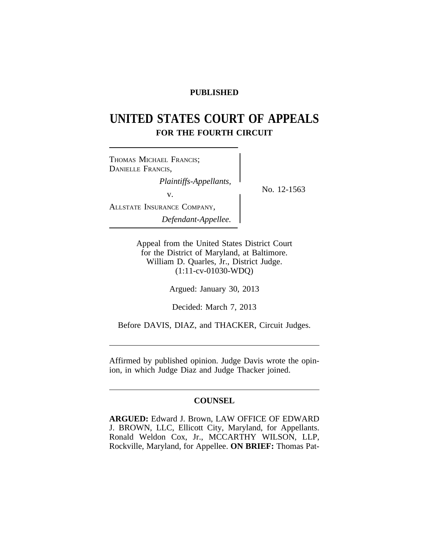# **PUBLISHED**

# **UNITED STATES COURT OF APPEALS FOR THE FOURTH CIRCUIT**

<sup>T</sup>HOMAS MICHAEL FRANCIS; DANIELLE FRANCIS, *Plaintiffs-Appellants,*<br>No. 12-1563 v. ALLSTATE INSURANCE COMPANY, *Defendant-Appellee.*

Appeal from the United States District Court for the District of Maryland, at Baltimore. William D. Quarles, Jr., District Judge. (1:11-cv-01030-WDQ)

Argued: January 30, 2013

Decided: March 7, 2013

Before DAVIS, DIAZ, and THACKER, Circuit Judges.

Affirmed by published opinion. Judge Davis wrote the opinion, in which Judge Diaz and Judge Thacker joined.

### **COUNSEL**

**ARGUED:** Edward J. Brown, LAW OFFICE OF EDWARD J. BROWN, LLC, Ellicott City, Maryland, for Appellants. Ronald Weldon Cox, Jr., MCCARTHY WILSON, LLP, Rockville, Maryland, for Appellee. **ON BRIEF:** Thomas Pat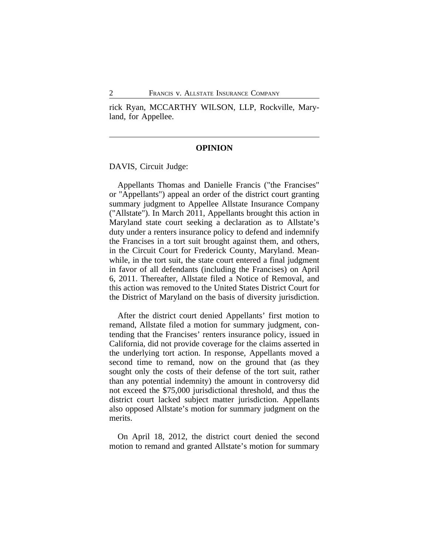rick Ryan, MCCARTHY WILSON, LLP, Rockville, Maryland, for Appellee.

#### **OPINION**

DAVIS, Circuit Judge:

Appellants Thomas and Danielle Francis ("the Francises" or "Appellants") appeal an order of the district court granting summary judgment to Appellee Allstate Insurance Company ("Allstate"). In March 2011, Appellants brought this action in Maryland state court seeking a declaration as to Allstate's duty under a renters insurance policy to defend and indemnify the Francises in a tort suit brought against them, and others, in the Circuit Court for Frederick County, Maryland. Meanwhile, in the tort suit, the state court entered a final judgment in favor of all defendants (including the Francises) on April 6, 2011. Thereafter, Allstate filed a Notice of Removal, and this action was removed to the United States District Court for the District of Maryland on the basis of diversity jurisdiction.

After the district court denied Appellants' first motion to remand, Allstate filed a motion for summary judgment, contending that the Francises' renters insurance policy, issued in California, did not provide coverage for the claims asserted in the underlying tort action. In response, Appellants moved a second time to remand, now on the ground that (as they sought only the costs of their defense of the tort suit, rather than any potential indemnity) the amount in controversy did not exceed the \$75,000 jurisdictional threshold, and thus the district court lacked subject matter jurisdiction. Appellants also opposed Allstate's motion for summary judgment on the merits.

On April 18, 2012, the district court denied the second motion to remand and granted Allstate's motion for summary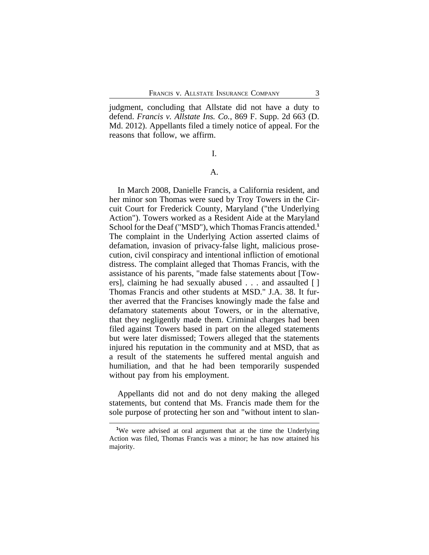judgment, concluding that Allstate did not have a duty to defend. *Francis v. Allstate Ins. Co.*, 869 F. Supp. 2d 663 (D. Md. 2012). Appellants filed a timely notice of appeal. For the reasons that follow, we affirm.

I.

#### A.

In March 2008, Danielle Francis, a California resident, and her minor son Thomas were sued by Troy Towers in the Circuit Court for Frederick County, Maryland ("the Underlying Action"). Towers worked as a Resident Aide at the Maryland School for the Deaf ("MSD"), which Thomas Francis attended.**<sup>1</sup>** The complaint in the Underlying Action asserted claims of defamation, invasion of privacy-false light, malicious prosecution, civil conspiracy and intentional infliction of emotional distress. The complaint alleged that Thomas Francis, with the assistance of his parents, "made false statements about [Towers], claiming he had sexually abused . . . and assaulted [ ] Thomas Francis and other students at MSD." J.A. 38. It further averred that the Francises knowingly made the false and defamatory statements about Towers, or in the alternative, that they negligently made them. Criminal charges had been filed against Towers based in part on the alleged statements but were later dismissed; Towers alleged that the statements injured his reputation in the community and at MSD, that as a result of the statements he suffered mental anguish and humiliation, and that he had been temporarily suspended without pay from his employment.

Appellants did not and do not deny making the alleged statements, but contend that Ms. Francis made them for the sole purpose of protecting her son and "without intent to slan-

**<sup>1</sup>**We were advised at oral argument that at the time the Underlying Action was filed, Thomas Francis was a minor; he has now attained his majority.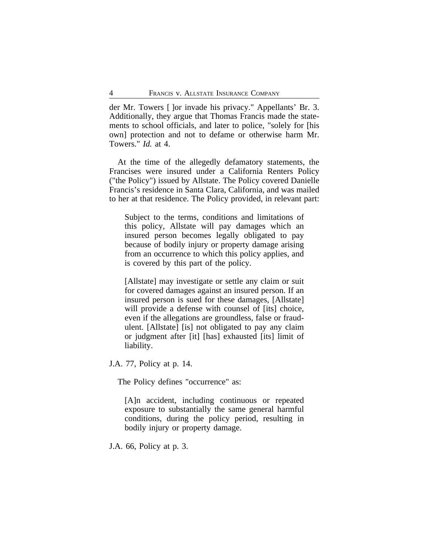der Mr. Towers [ ]or invade his privacy." Appellants' Br. 3. Additionally, they argue that Thomas Francis made the statements to school officials, and later to police, "solely for [his own] protection and not to defame or otherwise harm Mr. Towers." *Id.* at 4.

At the time of the allegedly defamatory statements, the Francises were insured under a California Renters Policy ("the Policy") issued by Allstate. The Policy covered Danielle Francis's residence in Santa Clara, California, and was mailed to her at that residence. The Policy provided, in relevant part:

Subject to the terms, conditions and limitations of this policy, Allstate will pay damages which an insured person becomes legally obligated to pay because of bodily injury or property damage arising from an occurrence to which this policy applies, and is covered by this part of the policy.

[Allstate] may investigate or settle any claim or suit for covered damages against an insured person. If an insured person is sued for these damages, [Allstate] will provide a defense with counsel of [its] choice, even if the allegations are groundless, false or fraudulent. [Allstate] [is] not obligated to pay any claim or judgment after [it] [has] exhausted [its] limit of liability.

J.A. 77, Policy at p. 14.

The Policy defines "occurrence" as:

[A]n accident, including continuous or repeated exposure to substantially the same general harmful conditions, during the policy period, resulting in bodily injury or property damage.

J.A. 66, Policy at p. 3.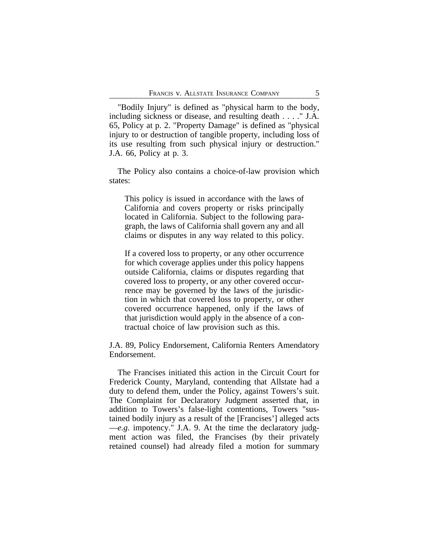"Bodily Injury" is defined as "physical harm to the body, including sickness or disease, and resulting death . . . ." J.A. 65, Policy at p. 2. "Property Damage" is defined as "physical injury to or destruction of tangible property, including loss of its use resulting from such physical injury or destruction." J.A. 66, Policy at p. 3.

The Policy also contains a choice-of-law provision which states:

This policy is issued in accordance with the laws of California and covers property or risks principally located in California. Subject to the following paragraph, the laws of California shall govern any and all claims or disputes in any way related to this policy.

If a covered loss to property, or any other occurrence for which coverage applies under this policy happens outside California, claims or disputes regarding that covered loss to property, or any other covered occurrence may be governed by the laws of the jurisdiction in which that covered loss to property, or other covered occurrence happened, only if the laws of that jurisdiction would apply in the absence of a contractual choice of law provision such as this.

J.A. 89, Policy Endorsement, California Renters Amendatory Endorsement.

The Francises initiated this action in the Circuit Court for Frederick County, Maryland, contending that Allstate had a duty to defend them, under the Policy, against Towers's suit. The Complaint for Declaratory Judgment asserted that, in addition to Towers's false-light contentions, Towers "sustained bodily injury as a result of the [Francises'] alleged acts —*e.g.* impotency." J.A. 9. At the time the declaratory judgment action was filed, the Francises (by their privately retained counsel) had already filed a motion for summary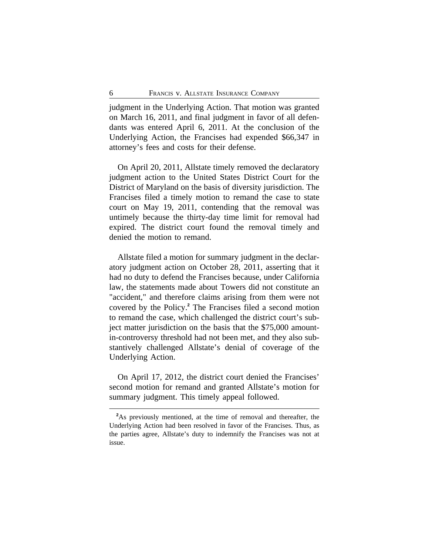judgment in the Underlying Action. That motion was granted on March 16, 2011, and final judgment in favor of all defendants was entered April 6, 2011. At the conclusion of the Underlying Action, the Francises had expended \$66,347 in attorney's fees and costs for their defense.

On April 20, 2011, Allstate timely removed the declaratory judgment action to the United States District Court for the District of Maryland on the basis of diversity jurisdiction. The Francises filed a timely motion to remand the case to state court on May 19, 2011, contending that the removal was untimely because the thirty-day time limit for removal had expired. The district court found the removal timely and denied the motion to remand.

Allstate filed a motion for summary judgment in the declaratory judgment action on October 28, 2011, asserting that it had no duty to defend the Francises because, under California law, the statements made about Towers did not constitute an "accident," and therefore claims arising from them were not covered by the Policy.**<sup>2</sup>** The Francises filed a second motion to remand the case, which challenged the district court's subject matter jurisdiction on the basis that the \$75,000 amountin-controversy threshold had not been met, and they also substantively challenged Allstate's denial of coverage of the Underlying Action.

On April 17, 2012, the district court denied the Francises' second motion for remand and granted Allstate's motion for summary judgment. This timely appeal followed.

<sup>&</sup>lt;sup>2</sup>As previously mentioned, at the time of removal and thereafter, the Underlying Action had been resolved in favor of the Francises. Thus, as the parties agree, Allstate's duty to indemnify the Francises was not at issue.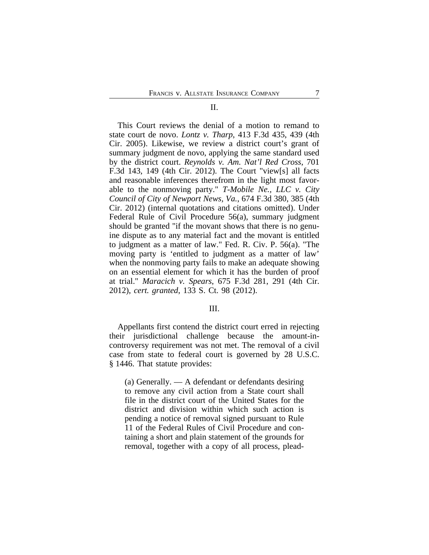#### II.

This Court reviews the denial of a motion to remand to state court de novo. *Lontz v. Tharp*, 413 F.3d 435, 439 (4th Cir. 2005). Likewise, we review a district court's grant of summary judgment de novo, applying the same standard used by the district court. *Reynolds v. Am. Nat'l Red Cross*, 701 F.3d 143, 149 (4th Cir. 2012). The Court "view[s] all facts and reasonable inferences therefrom in the light most favorable to the nonmoving party." *T-Mobile Ne., LLC v. City Council of City of Newport News, Va.*, 674 F.3d 380, 385 (4th Cir. 2012) (internal quotations and citations omitted). Under Federal Rule of Civil Procedure 56(a), summary judgment should be granted "if the movant shows that there is no genuine dispute as to any material fact and the movant is entitled to judgment as a matter of law." Fed. R. Civ. P. 56(a). "The moving party is 'entitled to judgment as a matter of law' when the nonmoving party fails to make an adequate showing on an essential element for which it has the burden of proof at trial." *Maracich v. Spears*, 675 F.3d 281, 291 (4th Cir. 2012), *cert. granted*, 133 S. Ct. 98 (2012).

#### III.

Appellants first contend the district court erred in rejecting their jurisdictional challenge because the amount-incontroversy requirement was not met. The removal of a civil case from state to federal court is governed by 28 U.S.C. § 1446. That statute provides:

(a) Generally. — A defendant or defendants desiring to remove any civil action from a State court shall file in the district court of the United States for the district and division within which such action is pending a notice of removal signed pursuant to Rule 11 of the Federal Rules of Civil Procedure and containing a short and plain statement of the grounds for removal, together with a copy of all process, plead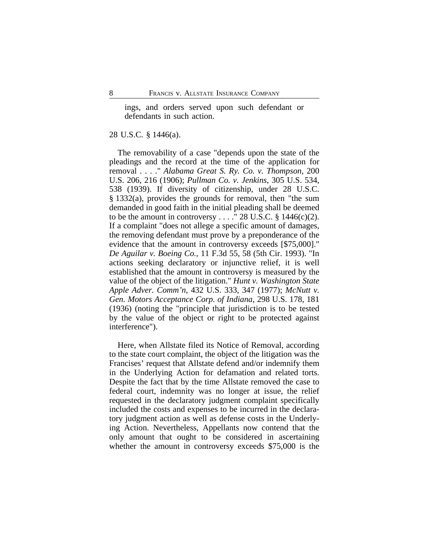ings, and orders served upon such defendant or defendants in such action.

#### 28 U.S.C. § 1446(a).

The removability of a case "depends upon the state of the pleadings and the record at the time of the application for removal . . . ." *Alabama Great S. Ry. Co. v. Thompson*, 200 U.S. 206, 216 (1906); *Pullman Co. v. Jenkins*, 305 U.S. 534, 538 (1939). If diversity of citizenship, under 28 U.S.C. § 1332(a), provides the grounds for removal, then "the sum demanded in good faith in the initial pleading shall be deemed to be the amount in controversy . . . . " 28 U.S.C.  $\S$  1446(c)(2). If a complaint "does not allege a specific amount of damages, the removing defendant must prove by a preponderance of the evidence that the amount in controversy exceeds [\$75,000]." *De Aguilar v. Boeing Co.*, 11 F.3d 55, 58 (5th Cir. 1993). "In actions seeking declaratory or injunctive relief, it is well established that the amount in controversy is measured by the value of the object of the litigation." *Hunt v. Washington State Apple Adver. Comm'n*, 432 U.S. 333, 347 (1977); *McNutt v. Gen. Motors Acceptance Corp. of Indiana*, 298 U.S. 178, 181 (1936) (noting the "principle that jurisdiction is to be tested by the value of the object or right to be protected against interference").

Here, when Allstate filed its Notice of Removal, according to the state court complaint, the object of the litigation was the Francises' request that Allstate defend and/or indemnify them in the Underlying Action for defamation and related torts. Despite the fact that by the time Allstate removed the case to federal court, indemnity was no longer at issue, the relief requested in the declaratory judgment complaint specifically included the costs and expenses to be incurred in the declaratory judgment action as well as defense costs in the Underlying Action. Nevertheless, Appellants now contend that the only amount that ought to be considered in ascertaining whether the amount in controversy exceeds \$75,000 is the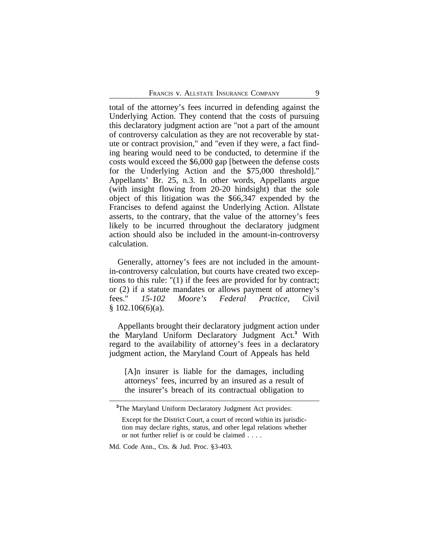total of the attorney's fees incurred in defending against the Underlying Action. They contend that the costs of pursuing this declaratory judgment action are "not a part of the amount of controversy calculation as they are not recoverable by statute or contract provision," and "even if they were, a fact finding hearing would need to be conducted, to determine if the costs would exceed the \$6,000 gap [between the defense costs for the Underlying Action and the \$75,000 threshold]." Appellants' Br. 25, n.3. In other words, Appellants argue (with insight flowing from 20-20 hindsight) that the sole object of this litigation was the \$66,347 expended by the Francises to defend against the Underlying Action. Allstate asserts, to the contrary, that the value of the attorney's fees likely to be incurred throughout the declaratory judgment action should also be included in the amount-in-controversy calculation.

Generally, attorney's fees are not included in the amountin-controversy calculation, but courts have created two exceptions to this rule: "(1) if the fees are provided for by contract; or (2) if a statute mandates or allows payment of attorney's fees." *15-102 Moore's Federal Practice*, Civil  $$102.106(6)(a).$ 

Appellants brought their declaratory judgment action under the Maryland Uniform Declaratory Judgment Act.**<sup>3</sup>** With regard to the availability of attorney's fees in a declaratory judgment action, the Maryland Court of Appeals has held

[A]n insurer is liable for the damages, including attorneys' fees, incurred by an insured as a result of the insurer's breach of its contractual obligation to

**<sup>3</sup>**The Maryland Uniform Declaratory Judgment Act provides:

Except for the District Court, a court of record within its jurisdiction may declare rights, status, and other legal relations whether or not further relief is or could be claimed . . . .

Md. Code Ann., Cts. & Jud. Proc. §3-403.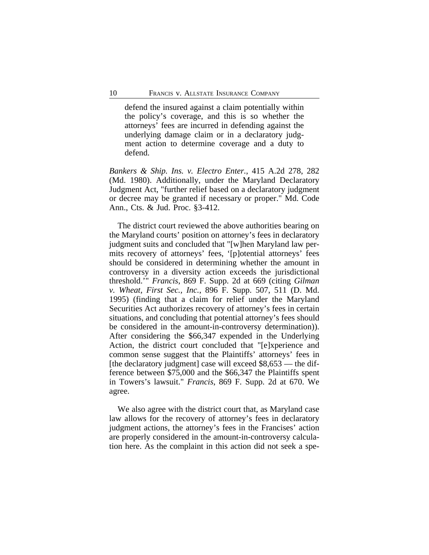defend the insured against a claim potentially within the policy's coverage, and this is so whether the attorneys' fees are incurred in defending against the underlying damage claim or in a declaratory judgment action to determine coverage and a duty to defend.

*Bankers & Ship. Ins. v. Electro Enter.*, 415 A.2d 278, 282 (Md. 1980). Additionally, under the Maryland Declaratory Judgment Act, "further relief based on a declaratory judgment or decree may be granted if necessary or proper." Md. Code Ann., Cts. & Jud. Proc. §3-412.

The district court reviewed the above authorities bearing on the Maryland courts' position on attorney's fees in declaratory judgment suits and concluded that "[w]hen Maryland law permits recovery of attorneys' fees, '[p]otential attorneys' fees should be considered in determining whether the amount in controversy in a diversity action exceeds the jurisdictional threshold.'" *Francis*, 869 F. Supp. 2d at 669 (citing *Gilman v. Wheat, First Sec., Inc.*, 896 F. Supp. 507, 511 (D. Md. 1995) (finding that a claim for relief under the Maryland Securities Act authorizes recovery of attorney's fees in certain situations, and concluding that potential attorney's fees should be considered in the amount-in-controversy determination)). After considering the \$66,347 expended in the Underlying Action, the district court concluded that "[e]xperience and common sense suggest that the Plaintiffs' attorneys' fees in [the declaratory judgment] case will exceed  $$8,653$  — the difference between \$75,000 and the \$66,347 the Plaintiffs spent in Towers's lawsuit." *Francis*, 869 F. Supp. 2d at 670. We agree.

We also agree with the district court that, as Maryland case law allows for the recovery of attorney's fees in declaratory judgment actions, the attorney's fees in the Francises' action are properly considered in the amount-in-controversy calculation here. As the complaint in this action did not seek a spe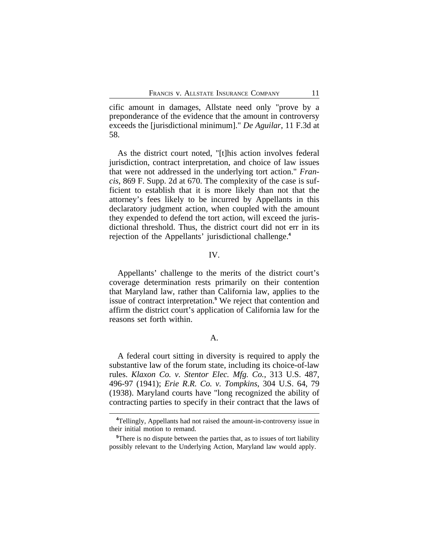cific amount in damages, Allstate need only "prove by a preponderance of the evidence that the amount in controversy exceeds the [jurisdictional minimum]." *De Aguilar*, 11 F.3d at 58.

As the district court noted, "[t]his action involves federal jurisdiction, contract interpretation, and choice of law issues that were not addressed in the underlying tort action." *Francis*, 869 F. Supp. 2d at 670. The complexity of the case is sufficient to establish that it is more likely than not that the attorney's fees likely to be incurred by Appellants in this declaratory judgment action, when coupled with the amount they expended to defend the tort action, will exceed the jurisdictional threshold. Thus, the district court did not err in its rejection of the Appellants' jurisdictional challenge.**<sup>4</sup>**

#### IV.

Appellants' challenge to the merits of the district court's coverage determination rests primarily on their contention that Maryland law, rather than California law, applies to the issue of contract interpretation.**<sup>5</sup>** We reject that contention and affirm the district court's application of California law for the reasons set forth within.

#### A.

A federal court sitting in diversity is required to apply the substantive law of the forum state, including its choice-of-law rules. *Klaxon Co. v. Stentor Elec. Mfg. Co.*, 313 U.S. 487, 496-97 (1941); *Erie R.R. Co. v. Tompkins*, 304 U.S. 64, 79 (1938). Maryland courts have "long recognized the ability of contracting parties to specify in their contract that the laws of

**<sup>4</sup>**Tellingly, Appellants had not raised the amount-in-controversy issue in their initial motion to remand.

**<sup>5</sup>**There is no dispute between the parties that, as to issues of tort liability possibly relevant to the Underlying Action, Maryland law would apply.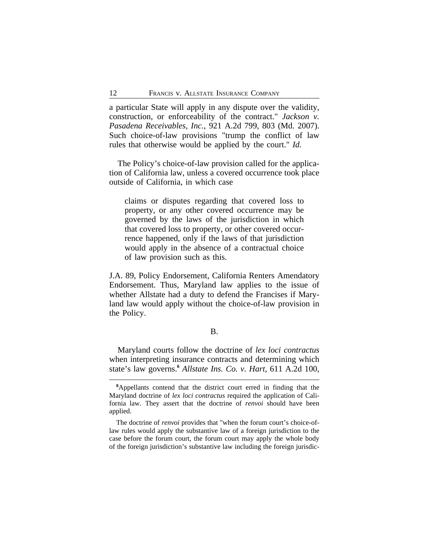a particular State will apply in any dispute over the validity, construction, or enforceability of the contract." *Jackson v. Pasadena Receivables, Inc.*, 921 A.2d 799, 803 (Md. 2007). Such choice-of-law provisions "trump the conflict of law rules that otherwise would be applied by the court." *Id.*

The Policy's choice-of-law provision called for the application of California law, unless a covered occurrence took place outside of California, in which case

claims or disputes regarding that covered loss to property, or any other covered occurrence may be governed by the laws of the jurisdiction in which that covered loss to property, or other covered occurrence happened, only if the laws of that jurisdiction would apply in the absence of a contractual choice of law provision such as this.

J.A. 89, Policy Endorsement, California Renters Amendatory Endorsement. Thus, Maryland law applies to the issue of whether Allstate had a duty to defend the Francises if Maryland law would apply without the choice-of-law provision in the Policy.

#### B.

Maryland courts follow the doctrine of *lex loci contractus* when interpreting insurance contracts and determining which state's law governs.**<sup>6</sup>** *Allstate Ins. Co. v. Hart*, 611 A.2d 100,

**<sup>6</sup>**Appellants contend that the district court erred in finding that the Maryland doctrine of *lex loci contractus* required the application of California law. They assert that the doctrine of *renvoi* should have been applied.

The doctrine of *renvoi* provides that "when the forum court's choice-oflaw rules would apply the substantive law of a foreign jurisdiction to the case before the forum court, the forum court may apply the whole body of the foreign jurisdiction's substantive law including the foreign jurisdic-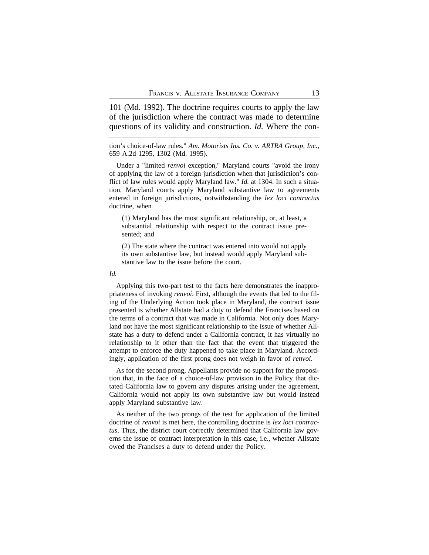101 (Md. 1992). The doctrine requires courts to apply the law of the jurisdiction where the contract was made to determine questions of its validity and construction. *Id.* Where the con-

tion's choice-of-law rules." *Am. Motorists Ins. Co. v. ARTRA Group, Inc.*, 659 A.2d 1295, 1302 (Md. 1995).

Under a "limited *renvoi* exception," Maryland courts "avoid the irony of applying the law of a foreign jurisdiction when that jurisdiction's conflict of law rules would apply Maryland law." *Id.* at 1304. In such a situation, Maryland courts apply Maryland substantive law to agreements entered in foreign jurisdictions, notwithstanding the *lex loci contractus* doctrine, when

(1) Maryland has the most significant relationship, or, at least, a substantial relationship with respect to the contract issue presented; and

(2) The state where the contract was entered into would not apply its own substantive law, but instead would apply Maryland substantive law to the issue before the court.

#### *Id.*

Applying this two-part test to the facts here demonstrates the inappropriateness of invoking *renvoi*. First, although the events that led to the filing of the Underlying Action took place in Maryland, the contract issue presented is whether Allstate had a duty to defend the Francises based on the terms of a contract that was made in California. Not only does Maryland not have the most significant relationship to the issue of whether Allstate has a duty to defend under a California contract, it has virtually no relationship to it other than the fact that the event that triggered the attempt to enforce the duty happened to take place in Maryland. Accordingly, application of the first prong does not weigh in favor of *renvoi*.

As for the second prong, Appellants provide no support for the proposition that, in the face of a choice-of-law provision in the Policy that dictated California law to govern any disputes arising under the agreement, California would not apply its own substantive law but would instead apply Maryland substantive law.

As neither of the two prongs of the test for application of the limited doctrine of *renvoi* is met here, the controlling doctrine is *lex loci contractus*. Thus, the district court correctly determined that California law governs the issue of contract interpretation in this case, i.e., whether Allstate owed the Francises a duty to defend under the Policy.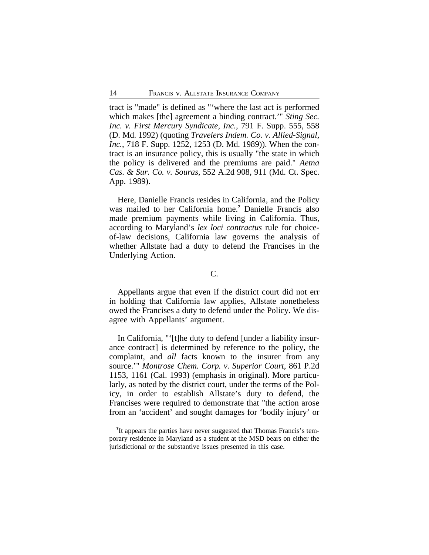tract is "made" is defined as "'where the last act is performed which makes [the] agreement a binding contract.'" *Sting Sec. Inc. v. First Mercury Syndicate, Inc.*, 791 F. Supp. 555, 558 (D. Md. 1992) (quoting *Travelers Indem. Co. v. Allied-Signal, Inc.*, 718 F. Supp. 1252, 1253 (D. Md. 1989)). When the contract is an insurance policy, this is usually "the state in which the policy is delivered and the premiums are paid." *Aetna Cas. & Sur. Co. v. Souras*, 552 A.2d 908, 911 (Md. Ct. Spec. App. 1989).

Here, Danielle Francis resides in California, and the Policy was mailed to her California home.**<sup>7</sup>** Danielle Francis also made premium payments while living in California. Thus, according to Maryland's *lex loci contractus* rule for choiceof-law decisions, California law governs the analysis of whether Allstate had a duty to defend the Francises in the Underlying Action.

## C.

Appellants argue that even if the district court did not err in holding that California law applies, Allstate nonetheless owed the Francises a duty to defend under the Policy. We disagree with Appellants' argument.

In California, "'[t]he duty to defend [under a liability insurance contract] is determined by reference to the policy, the complaint, and *all* facts known to the insurer from any source.'" *Montrose Chem. Corp. v. Superior Court*, 861 P.2d 1153, 1161 (Cal. 1993) (emphasis in original). More particularly, as noted by the district court, under the terms of the Policy, in order to establish Allstate's duty to defend, the Francises were required to demonstrate that "the action arose from an 'accident' and sought damages for 'bodily injury' or

<sup>&</sup>lt;sup>7</sup>It appears the parties have never suggested that Thomas Francis's temporary residence in Maryland as a student at the MSD bears on either the jurisdictional or the substantive issues presented in this case.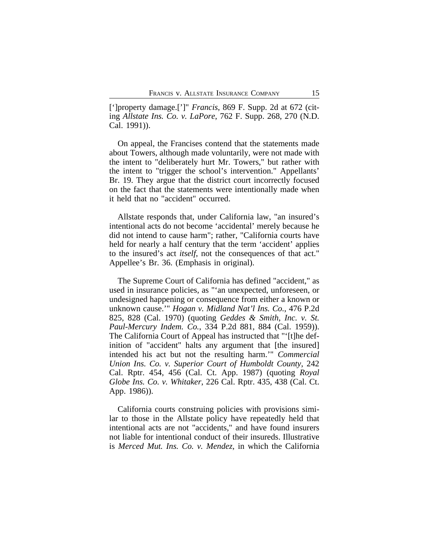[']property damage.[']" *Francis*, 869 F. Supp. 2d at 672 (citing *Allstate Ins. Co. v. LaPore*, 762 F. Supp. 268, 270 (N.D. Cal. 1991)).

On appeal, the Francises contend that the statements made about Towers, although made voluntarily, were not made with the intent to "deliberately hurt Mr. Towers," but rather with the intent to "trigger the school's intervention." Appellants' Br. 19. They argue that the district court incorrectly focused on the fact that the statements were intentionally made when it held that no "accident" occurred.

Allstate responds that, under California law, "an insured's intentional acts do not become 'accidental' merely because he did not intend to cause harm"; rather, "California courts have held for nearly a half century that the term 'accident' applies to the insured's act *itself*, not the consequences of that act." Appellee's Br. 36. (Emphasis in original).

The Supreme Court of California has defined "accident," as used in insurance policies, as "'an unexpected, unforeseen, or undesigned happening or consequence from either a known or unknown cause.'" *Hogan v. Midland Nat'l Ins. Co.*, 476 P.2d 825, 828 (Cal. 1970) (quoting *Geddes & Smith, Inc. v. St. Paul-Mercury Indem. Co.*, 334 P.2d 881, 884 (Cal. 1959)). The California Court of Appeal has instructed that "'[t]he definition of "accident" halts any argument that [the insured] intended his act but not the resulting harm.'" *Commercial Union Ins. Co. v. Superior Court of Humboldt County*, 242 Cal. Rptr. 454, 456 (Cal. Ct. App. 1987) (quoting *Royal Globe Ins. Co. v. Whitaker*, 226 Cal. Rptr. 435, 438 (Cal. Ct. App. 1986)).

California courts construing policies with provisions similar to those in the Allstate policy have repeatedly held that intentional acts are not "accidents," and have found insurers not liable for intentional conduct of their insureds. Illustrative is *Merced Mut. Ins. Co. v. Mendez*, in which the California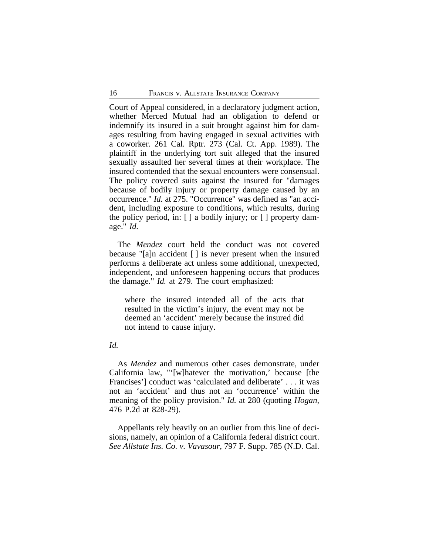Court of Appeal considered, in a declaratory judgment action, whether Merced Mutual had an obligation to defend or indemnify its insured in a suit brought against him for damages resulting from having engaged in sexual activities with a coworker. 261 Cal. Rptr. 273 (Cal. Ct. App. 1989). The plaintiff in the underlying tort suit alleged that the insured sexually assaulted her several times at their workplace. The insured contended that the sexual encounters were consensual. The policy covered suits against the insured for "damages because of bodily injury or property damage caused by an occurrence." *Id.* at 275. "Occurrence" was defined as "an accident, including exposure to conditions, which results, during the policy period, in: [ ] a bodily injury; or [ ] property damage." *Id.*

The *Mendez* court held the conduct was not covered because "[a]n accident [ ] is never present when the insured performs a deliberate act unless some additional, unexpected, independent, and unforeseen happening occurs that produces the damage." *Id.* at 279. The court emphasized:

where the insured intended all of the acts that resulted in the victim's injury, the event may not be deemed an 'accident' merely because the insured did not intend to cause injury.

#### *Id.*

As *Mendez* and numerous other cases demonstrate, under California law, "'[w]hatever the motivation,' because [the Francises'] conduct was 'calculated and deliberate' . . . it was not an 'accident' and thus not an 'occurrence' within the meaning of the policy provision." *Id.* at 280 (quoting *Hogan*, 476 P.2d at 828-29).

Appellants rely heavily on an outlier from this line of decisions, namely, an opinion of a California federal district court. *See Allstate Ins. Co. v. Vavasour*, 797 F. Supp. 785 (N.D. Cal.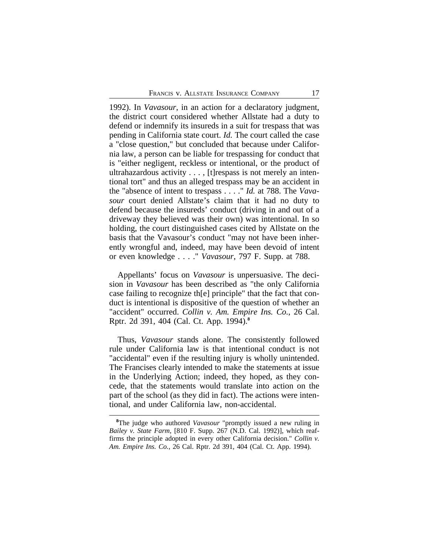1992). In *Vavasour*, in an action for a declaratory judgment, the district court considered whether Allstate had a duty to defend or indemnify its insureds in a suit for trespass that was pending in California state court. *Id.* The court called the case a "close question," but concluded that because under California law, a person can be liable for trespassing for conduct that is "either negligent, reckless or intentional, or the product of ultrahazardous activity . . . , [t]respass is not merely an intentional tort" and thus an alleged trespass may be an accident in the "absence of intent to trespass . . . ." *Id.* at 788. The *Vavasour* court denied Allstate's claim that it had no duty to defend because the insureds' conduct (driving in and out of a driveway they believed was their own) was intentional. In so holding, the court distinguished cases cited by Allstate on the basis that the Vavasour's conduct "may not have been inherently wrongful and, indeed, may have been devoid of intent or even knowledge . . . ." *Vavasour*, 797 F. Supp. at 788.

Appellants' focus on *Vavasour* is unpersuasive. The decision in *Vavasour* has been described as "the only California case failing to recognize th[e] principle" that the fact that conduct is intentional is dispositive of the question of whether an "accident" occurred. *Collin v. Am. Empire Ins. Co.*, 26 Cal. Rptr. 2d 391, 404 (Cal. Ct. App. 1994).**<sup>8</sup>**

Thus, *Vavasour* stands alone. The consistently followed rule under California law is that intentional conduct is not "accidental" even if the resulting injury is wholly unintended. The Francises clearly intended to make the statements at issue in the Underlying Action; indeed, they hoped, as they concede, that the statements would translate into action on the part of the school (as they did in fact). The actions were intentional, and under California law, non-accidental.

**<sup>8</sup>**The judge who authored *Vavasour* "promptly issued a new ruling in *Bailey v. State Farm*, [810 F. Supp. 267 (N.D. Cal. 1992)], which reaffirms the principle adopted in every other California decision." *Collin v. Am. Empire Ins. Co.*, 26 Cal. Rptr. 2d 391, 404 (Cal. Ct. App. 1994).